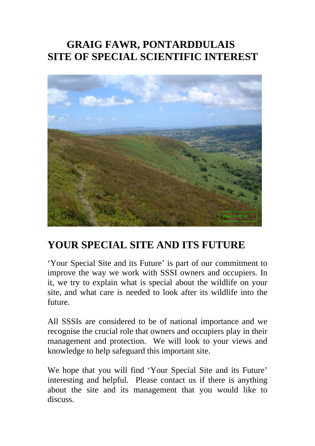## **GRAIG FAWR, PONTARDDULAIS SITE OF SPECIAL SCIENTIFIC INTEREST**



# **YOUR SPECIAL SITE AND ITS FUTURE**

'Your Special Site and its Future' is part of our commitment to improve the way we work with SSSI owners and occupiers. In it, we try to explain what is special about the wildlife on your site, and what care is needed to look after its wildlife into the future.

All SSSIs are considered to be of national importance and we recognise the crucial role that owners and occupiers play in their management and protection. We will look to your views and knowledge to help safeguard this important site.

We hope that you will find 'Your Special Site and its Future' interesting and helpful. Please contact us if there is anything about the site and its management that you would like to discuss.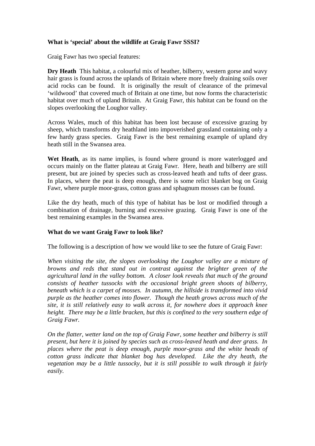## **What is 'special' about the wildlife at Graig Fawr SSSI?**

Graig Fawr has two special features:

**Dry Heath** This habitat, a colourful mix of heather, bilberry, western gorse and wavy hair grass is found across the uplands of Britain where more freely draining soils over acid rocks can be found. It is originally the result of clearance of the primeval 'wildwood' that covered much of Britain at one time, but now forms the characteristic habitat over much of upland Britain. At Graig Fawr, this habitat can be found on the slopes overlooking the Loughor valley.

Across Wales, much of this habitat has been lost because of excessive grazing by sheep, which transforms dry heathland into impoverished grassland containing only a few hardy grass species. Graig Fawr is the best remaining example of upland dry heath still in the Swansea area.

**Wet Heath**, as its name implies, is found where ground is more waterlogged and occurs mainly on the flatter plateau at Graig Fawr. Here, heath and bilberry are still present, but are joined by species such as cross-leaved heath and tufts of deer grass. In places, where the peat is deep enough, there is some relict blanket bog on Graig Fawr, where purple moor-grass, cotton grass and sphagnum mosses can be found.

Like the dry heath, much of this type of habitat has be lost or modified through a combination of drainage, burning and excessive grazing. Graig Fawr is one of the best remaining examples in the Swansea area.

## **What do we want Graig Fawr to look like?**

The following is a description of how we would like to see the future of Graig Fawr:

*When visiting the site, the slopes overlooking the Loughor valley are a mixture of browns and reds that stand out in contrast against the brighter green of the agricultural land in the valley bottom. A closer look reveals that much of the ground consists of heather tussocks with the occasional bright green shoots of bilberry, beneath which is a carpet of mosses. In autumn, the hillside is transformed into vivid purple as the heather comes into flower. Though the heath grows across much of the site, it is still relatively easy to walk across it, for nowhere does it approach knee height. There may be a little bracken, but this is confined to the very southern edge of Graig Fawr.* 

*On the flatter, wetter land on the top of Graig Fawr, some heather and bilberry is still present, but here it is joined by species such as cross-leaved heath and deer grass. In places where the peat is deep enough, purple moor-grass and the white heads of cotton grass indicate that blanket bog has developed. Like the dry heath, the vegetation may be a little tussocky, but it is still possible to walk through it fairly easily.*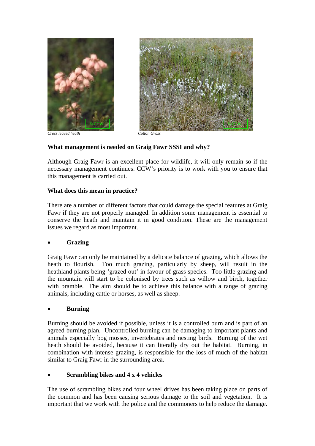



## **What management is needed on Graig Fawr SSSI and why?**

Although Graig Fawr is an excellent place for wildlife, it will only remain so if the necessary management continues. CCW's priority is to work with you to ensure that this management is carried out.

## **What does this mean in practice?**

There are a number of different factors that could damage the special features at Graig Fawr if they are not properly managed. In addition some management is essential to conserve the heath and maintain it in good condition. These are the management issues we regard as most important.

## • **Grazing**

Graig Fawr can only be maintained by a delicate balance of grazing, which allows the heath to flourish. Too much grazing, particularly by sheep, will result in the heathland plants being 'grazed out' in favour of grass species. Too little grazing and the mountain will start to be colonised by trees such as willow and birch, together with bramble. The aim should be to achieve this balance with a range of grazing animals, including cattle or horses, as well as sheep.

## • **Burning**

Burning should be avoided if possible, unless it is a controlled burn and is part of an agreed burning plan. Uncontrolled burning can be damaging to important plants and animals especially bog mosses, invertebrates and nesting birds. Burning of the wet heath should be avoided, because it can literally dry out the habitat. Burning, in combination with intense grazing, is responsible for the loss of much of the habitat similar to Graig Fawr in the surrounding area.

## • **Scrambling bikes and 4 x 4 vehicles**

The use of scrambling bikes and four wheel drives has been taking place on parts of the common and has been causing serious damage to the soil and vegetation. It is important that we work with the police and the commoners to help reduce the damage.